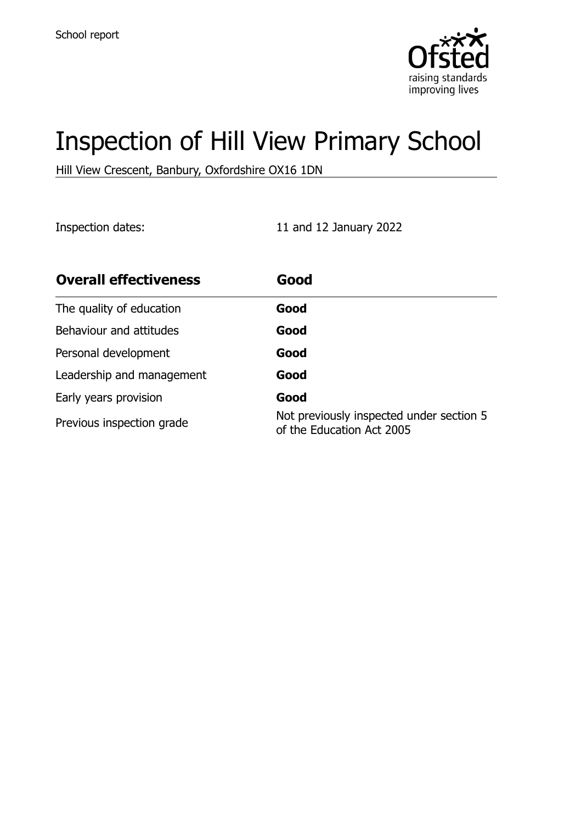

# Inspection of Hill View Primary School

Hill View Crescent, Banbury, Oxfordshire OX16 1DN

Inspection dates: 11 and 12 January 2022

| <b>Overall effectiveness</b> | Good                                                                  |
|------------------------------|-----------------------------------------------------------------------|
| The quality of education     | Good                                                                  |
| Behaviour and attitudes      | Good                                                                  |
| Personal development         | Good                                                                  |
| Leadership and management    | Good                                                                  |
| Early years provision        | Good                                                                  |
| Previous inspection grade    | Not previously inspected under section 5<br>of the Education Act 2005 |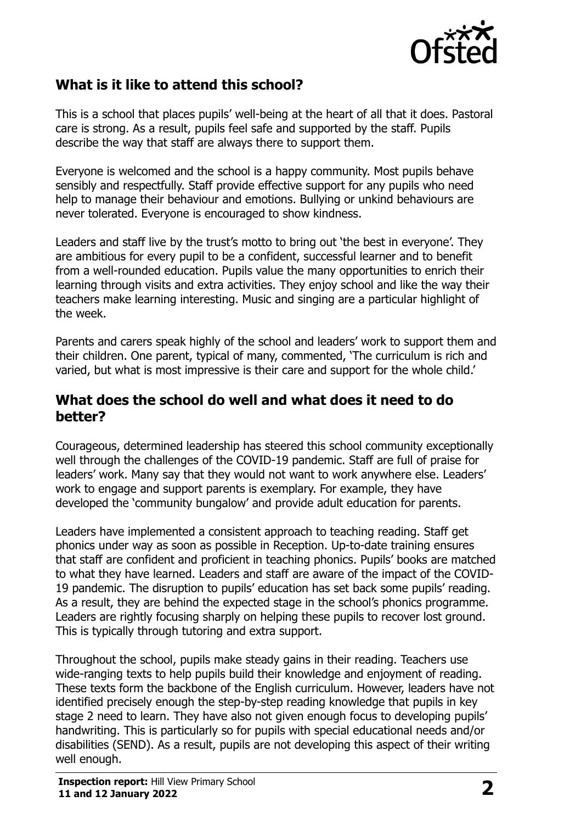

### **What is it like to attend this school?**

This is a school that places pupils' well-being at the heart of all that it does. Pastoral care is strong. As a result, pupils feel safe and supported by the staff. Pupils describe the way that staff are always there to support them.

Everyone is welcomed and the school is a happy community. Most pupils behave sensibly and respectfully. Staff provide effective support for any pupils who need help to manage their behaviour and emotions. Bullying or unkind behaviours are never tolerated. Everyone is encouraged to show kindness.

Leaders and staff live by the trust's motto to bring out 'the best in everyone'. They are ambitious for every pupil to be a confident, successful learner and to benefit from a well-rounded education. Pupils value the many opportunities to enrich their learning through visits and extra activities. They enjoy school and like the way their teachers make learning interesting. Music and singing are a particular highlight of the week.

Parents and carers speak highly of the school and leaders' work to support them and their children. One parent, typical of many, commented, 'The curriculum is rich and varied, but what is most impressive is their care and support for the whole child.'

#### **What does the school do well and what does it need to do better?**

Courageous, determined leadership has steered this school community exceptionally well through the challenges of the COVID-19 pandemic. Staff are full of praise for leaders' work. Many say that they would not want to work anywhere else. Leaders' work to engage and support parents is exemplary. For example, they have developed the 'community bungalow' and provide adult education for parents.

Leaders have implemented a consistent approach to teaching reading. Staff get phonics under way as soon as possible in Reception. Up-to-date training ensures that staff are confident and proficient in teaching phonics. Pupils' books are matched to what they have learned. Leaders and staff are aware of the impact of the COVID-19 pandemic. The disruption to pupils' education has set back some pupils' reading. As a result, they are behind the expected stage in the school's phonics programme. Leaders are rightly focusing sharply on helping these pupils to recover lost ground. This is typically through tutoring and extra support.

Throughout the school, pupils make steady gains in their reading. Teachers use wide-ranging texts to help pupils build their knowledge and enjoyment of reading. These texts form the backbone of the English curriculum. However, leaders have not identified precisely enough the step-by-step reading knowledge that pupils in key stage 2 need to learn. They have also not given enough focus to developing pupils' handwriting. This is particularly so for pupils with special educational needs and/or disabilities (SEND). As a result, pupils are not developing this aspect of their writing well enough.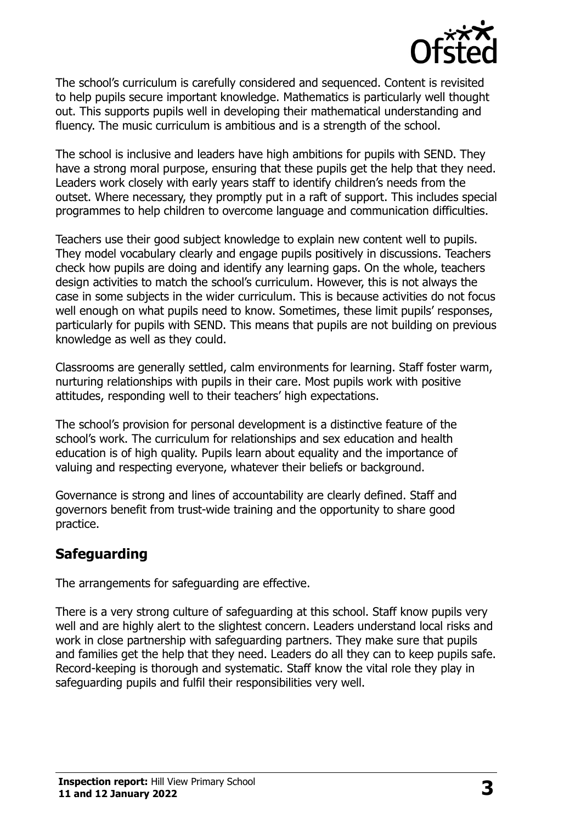

The school's curriculum is carefully considered and sequenced. Content is revisited to help pupils secure important knowledge. Mathematics is particularly well thought out. This supports pupils well in developing their mathematical understanding and fluency. The music curriculum is ambitious and is a strength of the school.

The school is inclusive and leaders have high ambitions for pupils with SEND. They have a strong moral purpose, ensuring that these pupils get the help that they need. Leaders work closely with early years staff to identify children's needs from the outset. Where necessary, they promptly put in a raft of support. This includes special programmes to help children to overcome language and communication difficulties.

Teachers use their good subject knowledge to explain new content well to pupils. They model vocabulary clearly and engage pupils positively in discussions. Teachers check how pupils are doing and identify any learning gaps. On the whole, teachers design activities to match the school's curriculum. However, this is not always the case in some subjects in the wider curriculum. This is because activities do not focus well enough on what pupils need to know. Sometimes, these limit pupils' responses, particularly for pupils with SEND. This means that pupils are not building on previous knowledge as well as they could.

Classrooms are generally settled, calm environments for learning. Staff foster warm, nurturing relationships with pupils in their care. Most pupils work with positive attitudes, responding well to their teachers' high expectations.

The school's provision for personal development is a distinctive feature of the school's work. The curriculum for relationships and sex education and health education is of high quality. Pupils learn about equality and the importance of valuing and respecting everyone, whatever their beliefs or background.

Governance is strong and lines of accountability are clearly defined. Staff and governors benefit from trust-wide training and the opportunity to share good practice.

### **Safeguarding**

The arrangements for safeguarding are effective.

There is a very strong culture of safeguarding at this school. Staff know pupils very well and are highly alert to the slightest concern. Leaders understand local risks and work in close partnership with safeguarding partners. They make sure that pupils and families get the help that they need. Leaders do all they can to keep pupils safe. Record-keeping is thorough and systematic. Staff know the vital role they play in safeguarding pupils and fulfil their responsibilities very well.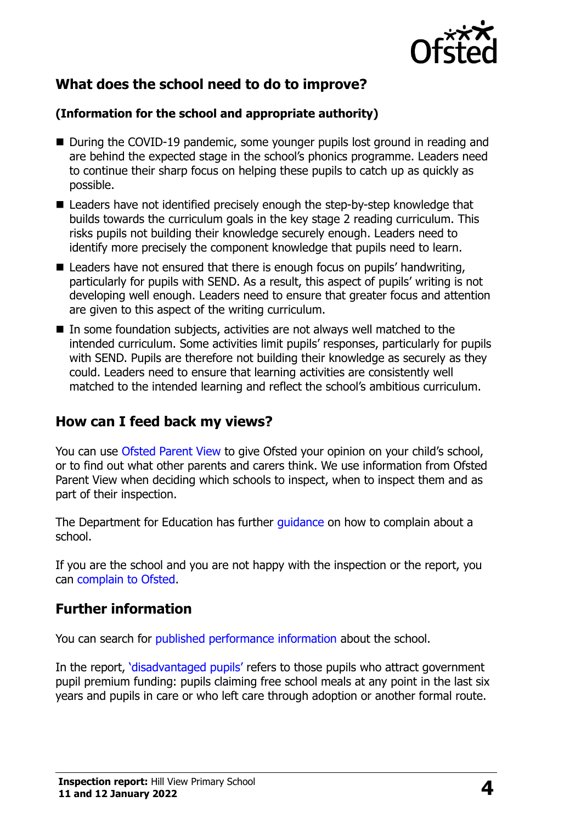

## **What does the school need to do to improve?**

#### **(Information for the school and appropriate authority)**

- During the COVID-19 pandemic, some younger pupils lost ground in reading and are behind the expected stage in the school's phonics programme. Leaders need to continue their sharp focus on helping these pupils to catch up as quickly as possible.
- Leaders have not identified precisely enough the step-by-step knowledge that builds towards the curriculum goals in the key stage 2 reading curriculum. This risks pupils not building their knowledge securely enough. Leaders need to identify more precisely the component knowledge that pupils need to learn.
- Leaders have not ensured that there is enough focus on pupils' handwriting, particularly for pupils with SEND. As a result, this aspect of pupils' writing is not developing well enough. Leaders need to ensure that greater focus and attention are given to this aspect of the writing curriculum.
- In some foundation subjects, activities are not always well matched to the intended curriculum. Some activities limit pupils' responses, particularly for pupils with SEND. Pupils are therefore not building their knowledge as securely as they could. Leaders need to ensure that learning activities are consistently well matched to the intended learning and reflect the school's ambitious curriculum.

#### **How can I feed back my views?**

You can use [Ofsted Parent View](http://parentview.ofsted.gov.uk/) to give Ofsted your opinion on your child's school, or to find out what other parents and carers think. We use information from Ofsted Parent View when deciding which schools to inspect, when to inspect them and as part of their inspection.

The Department for Education has further quidance on how to complain about a school.

If you are the school and you are not happy with the inspection or the report, you can [complain to Ofsted.](http://www.gov.uk/complain-ofsted-report)

### **Further information**

You can search for [published performance information](http://www.compare-school-performance.service.gov.uk/) about the school.

In the report, '[disadvantaged pupils](http://www.gov.uk/guidance/pupil-premium-information-for-schools-and-alternative-provision-settings)' refers to those pupils who attract government pupil premium funding: pupils claiming free school meals at any point in the last six years and pupils in care or who left care through adoption or another formal route.

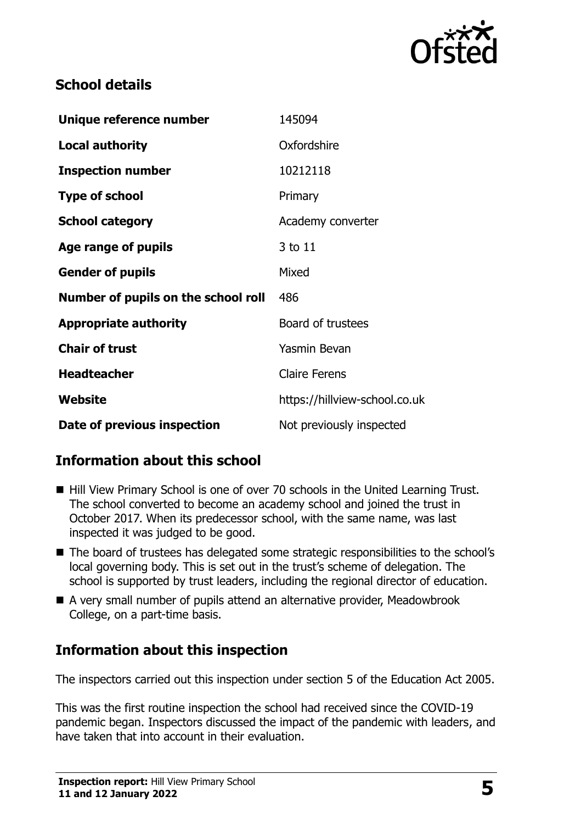

### **School details**

| Unique reference number             | 145094                        |
|-------------------------------------|-------------------------------|
| <b>Local authority</b>              | Oxfordshire                   |
| <b>Inspection number</b>            | 10212118                      |
| <b>Type of school</b>               | Primary                       |
| <b>School category</b>              | Academy converter             |
| Age range of pupils                 | 3 to 11                       |
| <b>Gender of pupils</b>             | Mixed                         |
| Number of pupils on the school roll | 486                           |
| <b>Appropriate authority</b>        | Board of trustees             |
| <b>Chair of trust</b>               | <b>Yasmin Bevan</b>           |
| <b>Headteacher</b>                  | <b>Claire Ferens</b>          |
| Website                             | https://hillview-school.co.uk |
| Date of previous inspection         | Not previously inspected      |

### **Information about this school**

- Hill View Primary School is one of over 70 schools in the United Learning Trust. The school converted to become an academy school and joined the trust in October 2017. When its predecessor school, with the same name, was last inspected it was judged to be good.
- The board of trustees has delegated some strategic responsibilities to the school's local governing body. This is set out in the trust's scheme of delegation. The school is supported by trust leaders, including the regional director of education.
- A very small number of pupils attend an alternative provider, Meadowbrook College, on a part-time basis.

# **Information about this inspection**

The inspectors carried out this inspection under section 5 of the Education Act 2005.

This was the first routine inspection the school had received since the COVID-19 pandemic began. Inspectors discussed the impact of the pandemic with leaders, and have taken that into account in their evaluation.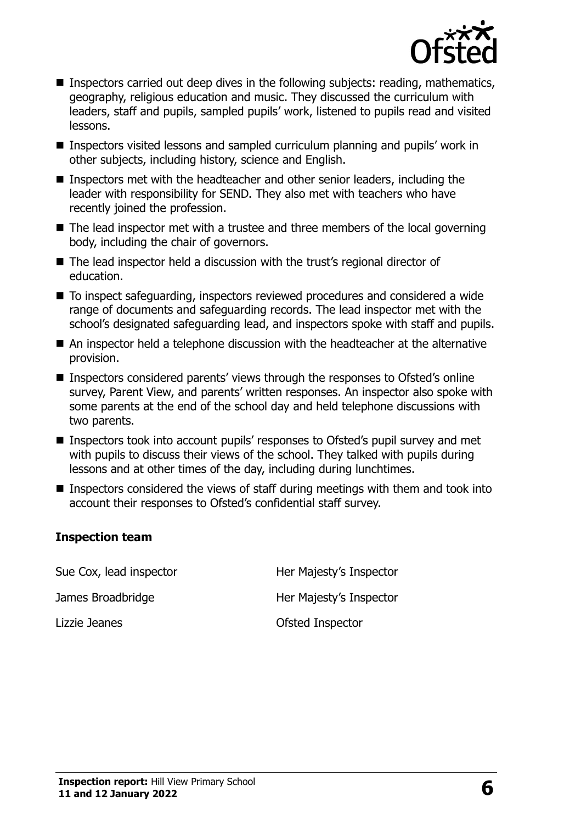

- Inspectors carried out deep dives in the following subjects: reading, mathematics, geography, religious education and music. They discussed the curriculum with leaders, staff and pupils, sampled pupils' work, listened to pupils read and visited lessons.
- Inspectors visited lessons and sampled curriculum planning and pupils' work in other subjects, including history, science and English.
- Inspectors met with the headteacher and other senior leaders, including the leader with responsibility for SEND. They also met with teachers who have recently joined the profession.
- $\blacksquare$  The lead inspector met with a trustee and three members of the local governing body, including the chair of governors.
- The lead inspector held a discussion with the trust's regional director of education.
- To inspect safeguarding, inspectors reviewed procedures and considered a wide range of documents and safeguarding records. The lead inspector met with the school's designated safeguarding lead, and inspectors spoke with staff and pupils.
- An inspector held a telephone discussion with the headteacher at the alternative provision.
- Inspectors considered parents' views through the responses to Ofsted's online survey, Parent View, and parents' written responses. An inspector also spoke with some parents at the end of the school day and held telephone discussions with two parents.
- Inspectors took into account pupils' responses to Ofsted's pupil survey and met with pupils to discuss their views of the school. They talked with pupils during lessons and at other times of the day, including during lunchtimes.
- Inspectors considered the views of staff during meetings with them and took into account their responses to Ofsted's confidential staff survey.

#### **Inspection team**

Sue Cox, lead inspector **Her Majesty's Inspector** James Broadbridge **Her Majesty's Inspector** Lizzie Jeanes **Calculates** Controller Controller Controller Controller Controller Controller Controller Controller